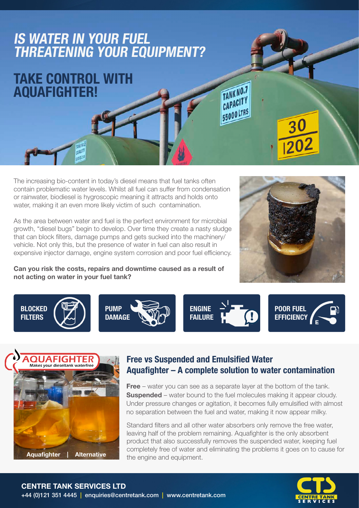# IS WATER IN YOUR FUEL THREATENING YOUR EQUIPMENT?

# TAKE CONTROL WITH AQUAFIGHTER!

The increasing bio-content in today's diesel means that fuel tanks often contain problematic water levels. Whilst all fuel can suffer from condensation or rainwater, biodiesel is hygroscopic meaning it attracts and holds onto water, making it an even more likely victim of such contamination.

As the area between water and fuel is the perfect environment for microbial growth, "diesel bugs" begin to develop. Over time they create a nasty sludge that can block filters, damage pumps and gets sucked into the machinery/ vehicle. Not only this, but the presence of water in fuel can also result in expensive injector damage, engine system corrosion and poor fuel efficiency.

Can you risk the costs, repairs and downtime caused as a result of not acting on water in your fuel tank?







### Free vs Suspended and Emulsified Water Aquafighter – A complete solution to water contamination

TANK NO.7 CAPACIT 55000 LTR

**Free** – water you can see as a separate layer at the bottom of the tank. **Suspended** – water bound to the fuel molecules making it appear cloudy. Under pressure changes or agitation, it becomes fully emulsified with almost no separation between the fuel and water, making it now appear milky.

Standard filters and all other water absorbers only remove the free water, leaving half of the problem remaining. Aquafighter is the only absorbent product that also successfully removes the suspended water, keeping fuel completely free of water and eliminating the problems it goes on to cause for the engine and equipment.